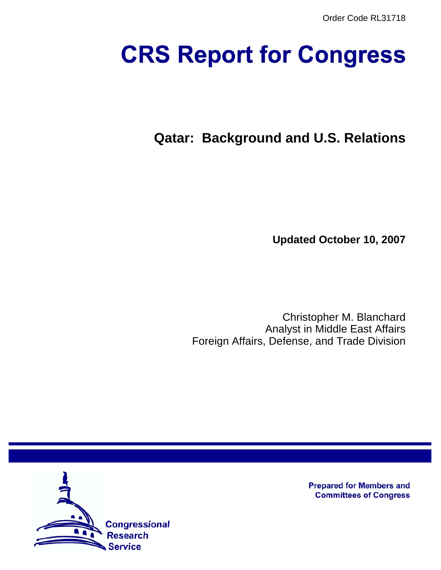# **CRS Report for Congress**

# **Qatar: Background and U.S. Relations**

**Updated October 10, 2007**

Christopher M. Blanchard Analyst in Middle East Affairs Foreign Affairs, Defense, and Trade Division



**Prepared for Members and Committees of Congress**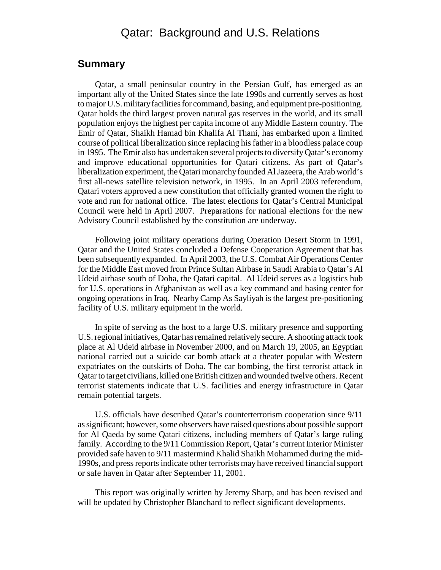### Qatar: Background and U.S. Relations

#### **Summary**

Qatar, a small peninsular country in the Persian Gulf, has emerged as an important ally of the United States since the late 1990s and currently serves as host to major U.S. military facilities for command, basing, and equipment pre-positioning. Qatar holds the third largest proven natural gas reserves in the world, and its small population enjoys the highest per capita income of any Middle Eastern country. The Emir of Qatar, Shaikh Hamad bin Khalifa Al Thani, has embarked upon a limited course of political liberalization since replacing his father in a bloodless palace coup in 1995. The Emir also has undertaken several projects to diversify Qatar's economy and improve educational opportunities for Qatari citizens. As part of Qatar's liberalization experiment, the Qatari monarchy founded Al Jazeera, the Arab world's first all-news satellite television network, in 1995. In an April 2003 referendum, Qatari voters approved a new constitution that officially granted women the right to vote and run for national office. The latest elections for Qatar's Central Municipal Council were held in April 2007. Preparations for national elections for the new Advisory Council established by the constitution are underway.

Following joint military operations during Operation Desert Storm in 1991, Qatar and the United States concluded a Defense Cooperation Agreement that has been subsequently expanded. In April 2003, the U.S. Combat Air Operations Center for the Middle East moved from Prince Sultan Airbase in Saudi Arabia to Qatar's Al Udeid airbase south of Doha, the Qatari capital. Al Udeid serves as a logistics hub for U.S. operations in Afghanistan as well as a key command and basing center for ongoing operations in Iraq. Nearby Camp As Sayliyah is the largest pre-positioning facility of U.S. military equipment in the world.

In spite of serving as the host to a large U.S. military presence and supporting U.S. regional initiatives, Qatar has remained relatively secure. A shooting attack took place at Al Udeid airbase in November 2000, and on March 19, 2005, an Egyptian national carried out a suicide car bomb attack at a theater popular with Western expatriates on the outskirts of Doha. The car bombing, the first terrorist attack in Qatar to target civilians, killed one British citizen and wounded twelve others. Recent terrorist statements indicate that U.S. facilities and energy infrastructure in Qatar remain potential targets.

U.S. officials have described Qatar's counterterrorism cooperation since 9/11 as significant; however, some observers have raised questions about possible support for Al Qaeda by some Qatari citizens, including members of Qatar's large ruling family. According to the 9/11 Commission Report, Qatar's current Interior Minister provided safe haven to 9/11 mastermind Khalid Shaikh Mohammed during the mid-1990s, and press reports indicate other terrorists may have received financial support or safe haven in Qatar after September 11, 2001.

This report was originally written by Jeremy Sharp, and has been revised and will be updated by Christopher Blanchard to reflect significant developments.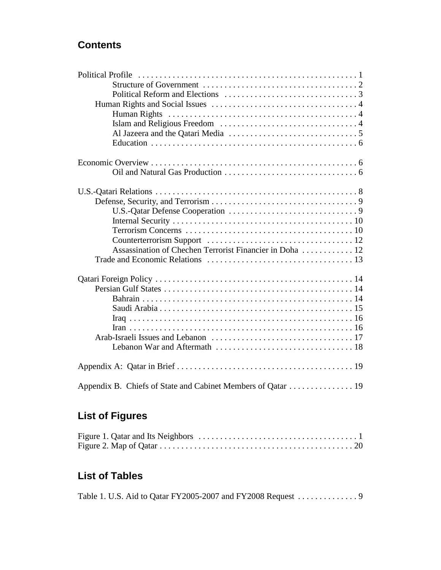# **Contents**

| Appendix B. Chiefs of State and Cabinet Members of Qatar 19 |
|-------------------------------------------------------------|

# **List of Figures**

# **List of Tables**

|  | Table 1. U.S. Aid to Qatar FY2005-2007 and FY2008 Request 9 |
|--|-------------------------------------------------------------|
|--|-------------------------------------------------------------|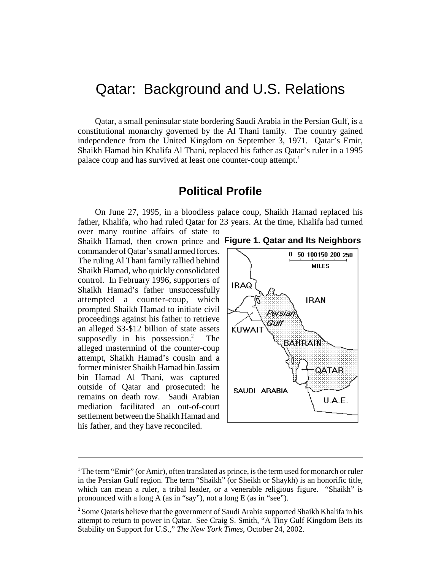# Qatar: Background and U.S. Relations

Qatar, a small peninsular state bordering Saudi Arabia in the Persian Gulf, is a constitutional monarchy governed by the Al Thani family. The country gained independence from the United Kingdom on September 3, 1971. Qatar's Emir, Shaikh Hamad bin Khalifa Al Thani, replaced his father as Qatar's ruler in a 1995 palace coup and has survived at least one counter-coup attempt.<sup>1</sup>

#### **Political Profile**

On June 27, 1995, in a bloodless palace coup, Shaikh Hamad replaced his father, Khalifa, who had ruled Qatar for 23 years. At the time, Khalifa had turned over many routine affairs of state to

Shaikh Hamad, then crown prince and **Figure 1. Qatar and Its Neighbors**commander of Qatar's small armed forces. The ruling Al Thani family rallied behind Shaikh Hamad, who quickly consolidated control. In February 1996, supporters of Shaikh Hamad's father unsuccessfully attempted a counter-coup, which prompted Shaikh Hamad to initiate civil proceedings against his father to retrieve an alleged \$3-\$12 billion of state assets supposedly in his possession.<sup>2</sup> The alleged mastermind of the counter-coup attempt, Shaikh Hamad's cousin and a former minister Shaikh Hamad bin Jassim bin Hamad Al Thani, was captured outside of Qatar and prosecuted: he remains on death row. Saudi Arabian mediation facilitated an out-of-court settlement between the Shaikh Hamad and his father, and they have reconciled.





 $1$  The term "Emir" (or Amir), often translated as prince, is the term used for monarch or ruler in the Persian Gulf region. The term "Shaikh" (or Sheikh or Shaykh) is an honorific title, which can mean a ruler, a tribal leader, or a venerable religious figure. "Shaikh" is pronounced with a long A (as in "say"), not a long E (as in "see").

 $2$  Some Qataris believe that the government of Saudi Arabia supported Shaikh Khalifa in his attempt to return to power in Qatar. See Craig S. Smith, "A Tiny Gulf Kingdom Bets its Stability on Support for U.S.," *The New York Times*, October 24, 2002.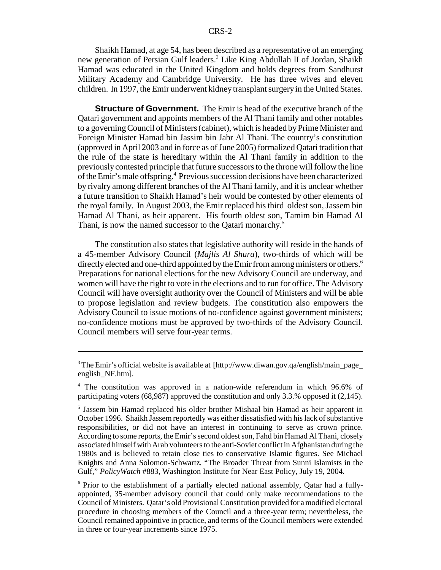Shaikh Hamad, at age 54, has been described as a representative of an emerging new generation of Persian Gulf leaders.<sup>3</sup> Like King Abdullah II of Jordan, Shaikh Hamad was educated in the United Kingdom and holds degrees from Sandhurst Military Academy and Cambridge University. He has three wives and eleven children. In 1997, the Emir underwent kidney transplant surgery in the United States.

**Structure of Government.** The Emir is head of the executive branch of the Qatari government and appoints members of the Al Thani family and other notables to a governing Council of Ministers (cabinet), which is headed by Prime Minister and Foreign Minister Hamad bin Jassim bin Jabr Al Thani. The country's constitution (approved in April 2003 and in force as of June 2005) formalized Qatari tradition that the rule of the state is hereditary within the Al Thani family in addition to the previously contested principle that future successors to the throne will follow the line of the Emir's male offspring.<sup>4</sup> Previous succession decisions have been characterized by rivalry among different branches of the Al Thani family, and it is unclear whether a future transition to Shaikh Hamad's heir would be contested by other elements of the royal family. In August 2003, the Emir replaced his third oldest son, Jassem bin Hamad Al Thani, as heir apparent. His fourth oldest son, Tamim bin Hamad Al Thani, is now the named successor to the Qatari monarchy.<sup>5</sup>

The constitution also states that legislative authority will reside in the hands of a 45-member Advisory Council (*Majlis Al Shura*), two-thirds of which will be directly elected and one-third appointed by the Emir from among ministers or others.<sup>6</sup> Preparations for national elections for the new Advisory Council are underway, and women will have the right to vote in the elections and to run for office. The Advisory Council will have oversight authority over the Council of Ministers and will be able to propose legislation and review budgets. The constitution also empowers the Advisory Council to issue motions of no-confidence against government ministers; no-confidence motions must be approved by two-thirds of the Advisory Council. Council members will serve four-year terms.

<sup>6</sup> Prior to the establishment of a partially elected national assembly, Qatar had a fullyappointed, 35-member advisory council that could only make recommendations to the Council of Ministers. Qatar's old Provisional Constitution provided for a modified electoral procedure in choosing members of the Council and a three-year term; nevertheless, the Council remained appointive in practice, and terms of the Council members were extended in three or four-year increments since 1975.

<sup>&</sup>lt;sup>3</sup> The Emir's official website is available at [http://www.diwan.gov.qa/english/main\_page\_ english\_NF.htm].

<sup>4</sup> The constitution was approved in a nation-wide referendum in which 96.6% of participating voters (68,987) approved the constitution and only 3.3.% opposed it (2,145).

<sup>5</sup> Jassem bin Hamad replaced his older brother Mishaal bin Hamad as heir apparent in October 1996. Shaikh Jassem reportedly was either dissatisfied with his lack of substantive responsibilities, or did not have an interest in continuing to serve as crown prince. According to some reports, the Emir's second oldest son, Fahd bin Hamad Al Thani, closely associated himself with Arab volunteers to the anti-Soviet conflict in Afghanistan during the 1980s and is believed to retain close ties to conservative Islamic figures. See Michael Knights and Anna Solomon-Schwartz, "The Broader Threat from Sunni Islamists in the Gulf," *PolicyWatch* #883, Washington Institute for Near East Policy, July 19, 2004.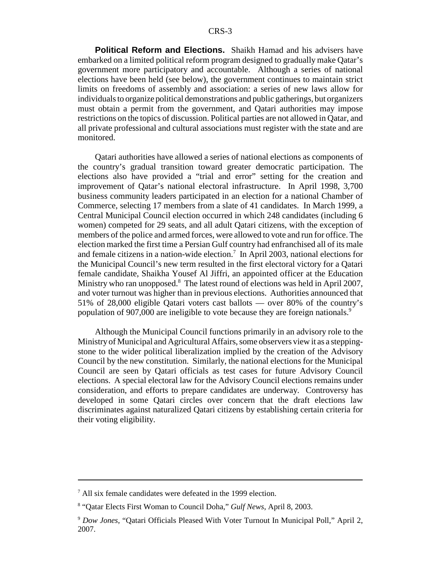**Political Reform and Elections.** Shaikh Hamad and his advisers have embarked on a limited political reform program designed to gradually make Qatar's government more participatory and accountable. Although a series of national elections have been held (see below), the government continues to maintain strict limits on freedoms of assembly and association: a series of new laws allow for individuals to organize political demonstrations and public gatherings, but organizers must obtain a permit from the government, and Qatari authorities may impose restrictions on the topics of discussion. Political parties are not allowed in Qatar, and all private professional and cultural associations must register with the state and are monitored.

Qatari authorities have allowed a series of national elections as components of the country's gradual transition toward greater democratic participation. The elections also have provided a "trial and error" setting for the creation and improvement of Qatar's national electoral infrastructure. In April 1998, 3,700 business community leaders participated in an election for a national Chamber of Commerce, selecting 17 members from a slate of 41 candidates. In March 1999, a Central Municipal Council election occurred in which 248 candidates (including 6 women) competed for 29 seats, and all adult Qatari citizens, with the exception of members of the police and armed forces, were allowed to vote and run for office. The election marked the first time a Persian Gulf country had enfranchised all of its male and female citizens in a nation-wide election.<sup>7</sup> In April 2003, national elections for the Municipal Council's new term resulted in the first electoral victory for a Qatari female candidate, Shaikha Yousef Al Jiffri, an appointed officer at the Education Ministry who ran unopposed.<sup>8</sup> The latest round of elections was held in April 2007, and voter turnout was higher than in previous elections. Authorities announced that 51% of 28,000 eligible Qatari voters cast ballots — over 80% of the country's population of 907,000 are ineligible to vote because they are foreign nationals.<sup>9</sup>

Although the Municipal Council functions primarily in an advisory role to the Ministry of Municipal and Agricultural Affairs, some observers view it as a steppingstone to the wider political liberalization implied by the creation of the Advisory Council by the new constitution. Similarly, the national elections for the Municipal Council are seen by Qatari officials as test cases for future Advisory Council elections. A special electoral law for the Advisory Council elections remains under consideration, and efforts to prepare candidates are underway. Controversy has developed in some Qatari circles over concern that the draft elections law discriminates against naturalized Qatari citizens by establishing certain criteria for their voting eligibility.

<sup>7</sup> All six female candidates were defeated in the 1999 election.

<sup>8</sup> "Qatar Elects First Woman to Council Doha," *Gulf News*, April 8, 2003.

<sup>9</sup> *Dow Jones*, "Qatari Officials Pleased With Voter Turnout In Municipal Poll," April 2, 2007.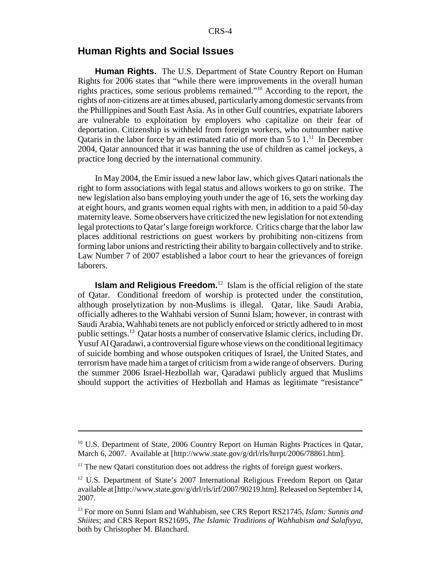#### **Human Rights and Social Issues**

**Human Rights.** The U.S. Department of State Country Report on Human Rights for 2006 states that "while there were improvements in the overall human rights practices, some serious problems remained."10 According to the report, the rights of non-citizens are at times abused, particularly among domestic servants from the Phillippines and South East Asia. As in other Gulf countries, expatriate laborers are vulnerable to exploitation by employers who capitalize on their fear of deportation. Citizenship is withheld from foreign workers, who outnumber native Qataris in the labor force by an estimated ratio of more than  $5$  to  $1$ .<sup>11</sup> In December 2004, Qatar announced that it was banning the use of children as camel jockeys, a practice long decried by the international community.

In May 2004, the Emir issued a new labor law, which gives Qatari nationals the right to form associations with legal status and allows workers to go on strike. The new legislation also bans employing youth under the age of 16, sets the working day at eight hours, and grants women equal rights with men, in addition to a paid 50-day maternity leave. Some observers have criticized the new legislation for not extending legal protections to Qatar's large foreign workforce. Critics charge that the labor law places additional restrictions on guest workers by prohibiting non-citizens from forming labor unions and restricting their ability to bargain collectively and to strike. Law Number 7 of 2007 established a labor court to hear the grievances of foreign laborers.

**Islam and Religious Freedom.**<sup>12</sup> Islam is the official religion of the state of Qatar. Conditional freedom of worship is protected under the constitution, although proselytization by non-Muslims is illegal. Qatar, like Saudi Arabia, officially adheres to the Wahhabi version of Sunni Islam; however, in contrast with Saudi Arabia, Wahhabi tenets are not publicly enforced or strictly adhered to in most public settings.13 Qatar hosts a number of conservative Islamic clerics, including Dr. Yusuf Al Qaradawi, a controversial figure whose views on the conditional legitimacy of suicide bombing and whose outspoken critiques of Israel, the United States, and terrorism have made him a target of criticism from a wide range of observers. During the summer 2006 Israel-Hezbollah war, Qaradawi publicly argued that Muslims should support the activities of Hezbollah and Hamas as legitimate "resistance"

<sup>&</sup>lt;sup>10</sup> U.S. Department of State, 2006 Country Report on Human Rights Practices in Oatar, March 6, 2007. Available at [http://www.state.gov/g/drl/rls/hrrpt/2006/78861.htm].

 $11$ <sup>11</sup> The new Qatari constitution does not address the rights of foreign guest workers.

<sup>&</sup>lt;sup>12</sup> U.S. Department of State's 2007 International Religious Freedom Report on Qatar available at [http://www.state.gov/g/drl/rls/irf/2007/90219.htm]. Released on September 14, 2007.

<sup>13</sup> For more on Sunni Islam and Wahhabism, see CRS Report RS21745, *Islam: Sunnis and Shiites*; and CRS Report RS21695, *The Islamic Traditions of Wahhabism and Salafiyya*, both by Christopher M. Blanchard.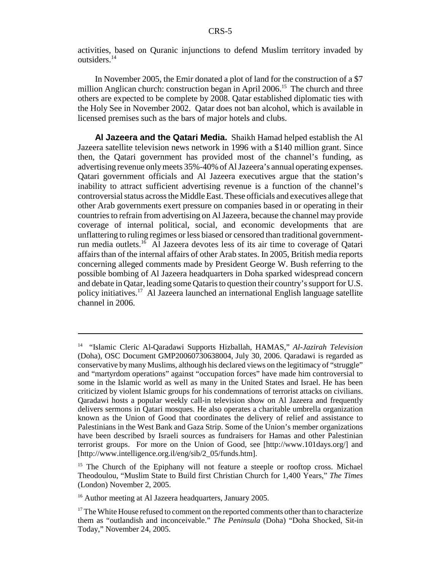activities, based on Quranic injunctions to defend Muslim territory invaded by outsiders.14

In November 2005, the Emir donated a plot of land for the construction of a \$7 million Anglican church: construction began in April  $2006$ <sup>15</sup>. The church and three others are expected to be complete by 2008. Qatar established diplomatic ties with the Holy See in November 2002. Qatar does not ban alcohol, which is available in licensed premises such as the bars of major hotels and clubs.

**Al Jazeera and the Qatari Media.** Shaikh Hamad helped establish the Al Jazeera satellite television news network in 1996 with a \$140 million grant. Since then, the Qatari government has provided most of the channel's funding, as advertising revenue only meets 35%-40% of Al Jazeera's annual operating expenses. Qatari government officials and Al Jazeera executives argue that the station's inability to attract sufficient advertising revenue is a function of the channel's controversial status across the Middle East. These officials and executives allege that other Arab governments exert pressure on companies based in or operating in their countries to refrain from advertising on Al Jazeera, because the channel may provide coverage of internal political, social, and economic developments that are unflattering to ruling regimes or less biased or censored than traditional governmentrun media outlets.16 Al Jazeera devotes less of its air time to coverage of Qatari affairs than of the internal affairs of other Arab states. In 2005, British media reports concerning alleged comments made by President George W. Bush referring to the possible bombing of Al Jazeera headquarters in Doha sparked widespread concern and debate in Qatar, leading some Qataris to question their country's support for U.S. policy initiatives.17 Al Jazeera launched an international English language satellite channel in 2006.

<sup>14 &</sup>quot;Islamic Cleric Al-Qaradawi Supports Hizballah, HAMAS," *Al-Jazirah Television* (Doha), OSC Document GMP20060730638004, July 30, 2006. Qaradawi is regarded as conservative by many Muslims, although his declared views on the legitimacy of "struggle" and "martyrdom operations" against "occupation forces" have made him controversial to some in the Islamic world as well as many in the United States and Israel. He has been criticized by violent Islamic groups for his condemnations of terrorist attacks on civilians. Qaradawi hosts a popular weekly call-in television show on Al Jazeera and frequently delivers sermons in Qatari mosques. He also operates a charitable umbrella organization known as the Union of Good that coordinates the delivery of relief and assistance to Palestinians in the West Bank and Gaza Strip. Some of the Union's member organizations have been described by Israeli sources as fundraisers for Hamas and other Palestinian terrorist groups. For more on the Union of Good, see [http://www.101days.org/] and [http://www.intelligence.org.il/eng/sib/2\_05/funds.htm].

<sup>&</sup>lt;sup>15</sup> The Church of the Epiphany will not feature a steeple or rooftop cross. Michael Theodoulou, "Muslim State to Build first Christian Church for 1,400 Years," *The Times* (London) November 2, 2005.

<sup>&</sup>lt;sup>16</sup> Author meeting at Al Jazeera headquarters, January 2005.

 $17$  The White House refused to comment on the reported comments other than to characterize them as "outlandish and inconceivable." *The Peninsula* (Doha) "Doha Shocked, Sit-in Today," November 24, 2005.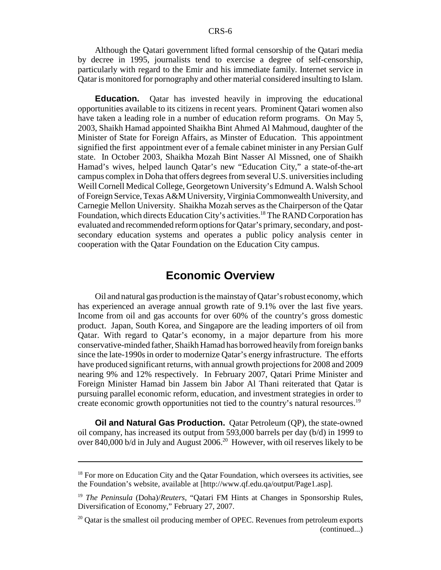Although the Qatari government lifted formal censorship of the Qatari media by decree in 1995, journalists tend to exercise a degree of self-censorship, particularly with regard to the Emir and his immediate family. Internet service in Qatar is monitored for pornography and other material considered insulting to Islam.

**Education.** Qatar has invested heavily in improving the educational opportunities available to its citizens in recent years. Prominent Qatari women also have taken a leading role in a number of education reform programs. On May 5, 2003, Shaikh Hamad appointed Shaikha Bint Ahmed Al Mahmoud, daughter of the Minister of State for Foreign Affairs, as Minster of Education. This appointment signified the first appointment ever of a female cabinet minister in any Persian Gulf state. In October 2003, Shaikha Mozah Bint Nasser Al Missned, one of Shaikh Hamad's wives, helped launch Qatar's new "Education City," a state-of-the-art campus complex in Doha that offers degrees from several U.S. universities including Weill Cornell Medical College, Georgetown University's Edmund A. Walsh School of Foreign Service, Texas A&M University, Virginia Commonwealth University, and Carnegie Mellon University. Shaikha Mozah serves as the Chairperson of the Qatar Foundation, which directs Education City's activities.<sup>18</sup> The RAND Corporation has evaluated and recommended reform options for Qatar's primary, secondary, and postsecondary education systems and operates a public policy analysis center in cooperation with the Qatar Foundation on the Education City campus.

#### **Economic Overview**

Oil and natural gas production is the mainstay of Qatar's robust economy, which has experienced an average annual growth rate of 9.1% over the last five years. Income from oil and gas accounts for over 60% of the country's gross domestic product. Japan, South Korea, and Singapore are the leading importers of oil from Qatar. With regard to Qatar's economy, in a major departure from his more conservative-minded father, Shaikh Hamad has borrowed heavily from foreign banks since the late-1990s in order to modernize Qatar's energy infrastructure. The efforts have produced significant returns, with annual growth projections for 2008 and 2009 nearing 9% and 12% respectively. In February 2007, Qatari Prime Minister and Foreign Minister Hamad bin Jassem bin Jabor Al Thani reiterated that Qatar is pursuing parallel economic reform, education, and investment strategies in order to create economic growth opportunities not tied to the country's natural resources.<sup>19</sup>

**Oil and Natural Gas Production.** Qatar Petroleum (QP), the state-owned oil company, has increased its output from 593,000 barrels per day (b/d) in 1999 to over 840,000 b/d in July and August 2006.<sup>20</sup> However, with oil reserves likely to be

 $18$  For more on Education City and the Oatar Foundation, which oversees its activities, see the Foundation's website, available at [http://www.qf.edu.qa/output/Page1.asp].

<sup>19</sup> *The Peninsula* (Doha)/*Reuters*, "Qatari FM Hints at Changes in Sponsorship Rules, Diversification of Economy," February 27, 2007.

 $20$  Qatar is the smallest oil producing member of OPEC. Revenues from petroleum exports (continued...)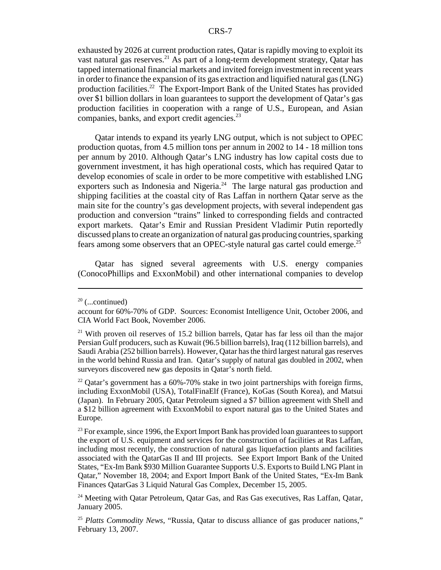exhausted by 2026 at current production rates, Qatar is rapidly moving to exploit its vast natural gas reserves.<sup>21</sup> As part of a long-term development strategy, Qatar has tapped international financial markets and invited foreign investment in recent years in order to finance the expansion of its gas extraction and liquified natural gas (LNG) production facilities.22 The Export-Import Bank of the United States has provided over \$1 billion dollars in loan guarantees to support the development of Qatar's gas production facilities in cooperation with a range of U.S., European, and Asian companies, banks, and export credit agencies.<sup>23</sup>

Qatar intends to expand its yearly LNG output, which is not subject to OPEC production quotas, from 4.5 million tons per annum in 2002 to 14 - 18 million tons per annum by 2010. Although Qatar's LNG industry has low capital costs due to government investment, it has high operational costs, which has required Qatar to develop economies of scale in order to be more competitive with established LNG exporters such as Indonesia and Nigeria.<sup>24</sup> The large natural gas production and shipping facilities at the coastal city of Ras Laffan in northern Qatar serve as the main site for the country's gas development projects, with several independent gas production and conversion "trains" linked to corresponding fields and contracted export markets. Qatar's Emir and Russian President Vladimir Putin reportedly discussed plans to create an organization of natural gas producing countries, sparking fears among some observers that an OPEC-style natural gas cartel could emerge.<sup>25</sup>

Qatar has signed several agreements with U.S. energy companies (ConocoPhillips and ExxonMobil) and other international companies to develop

 $20$  (...continued)

account for 60%-70% of GDP. Sources: Economist Intelligence Unit, October 2006, and CIA World Fact Book, November 2006.

<sup>&</sup>lt;sup>21</sup> With proven oil reserves of 15.2 billion barrels, Qatar has far less oil than the major Persian Gulf producers, such as Kuwait (96.5 billion barrels), Iraq (112 billion barrels), and Saudi Arabia (252 billion barrels). However, Qatar has the third largest natural gas reserves in the world behind Russia and Iran. Qatar's supply of natural gas doubled in 2002, when surveyors discovered new gas deposits in Qatar's north field.

 $22$  Qatar's government has a 60%-70% stake in two joint partnerships with foreign firms, including ExxonMobil (USA), TotalFinaElf (France), KoGas (South Korea), and Matsui (Japan). In February 2005, Qatar Petroleum signed a \$7 billion agreement with Shell and a \$12 billion agreement with ExxonMobil to export natural gas to the United States and Europe.

 $23$  For example, since 1996, the Export Import Bank has provided loan guarantees to support the export of U.S. equipment and services for the construction of facilities at Ras Laffan, including most recently, the construction of natural gas liquefaction plants and facilities associated with the QatarGas II and III projects. See Export Import Bank of the United States, "Ex-Im Bank \$930 Million Guarantee Supports U.S. Exports to Build LNG Plant in Qatar," November 18, 2004; and Export Import Bank of the United States, "Ex-Im Bank Finances QatarGas 3 Liquid Natural Gas Complex, December 15, 2005.

<sup>&</sup>lt;sup>24</sup> Meeting with Qatar Petroleum, Qatar Gas, and Ras Gas executives, Ras Laffan, Qatar, January 2005.

<sup>25</sup> *Platts Commodity News*, "Russia, Qatar to discuss alliance of gas producer nations," February 13, 2007.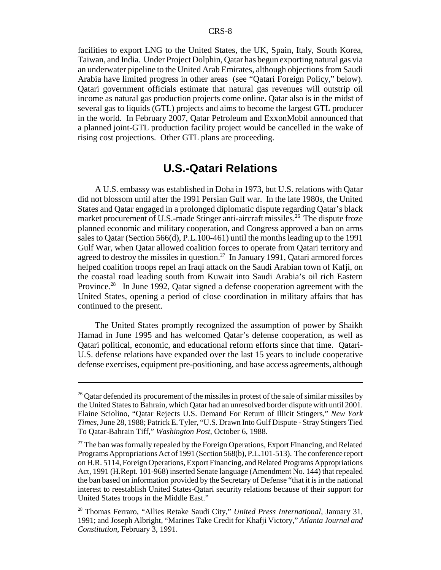facilities to export LNG to the United States, the UK, Spain, Italy, South Korea, Taiwan, and India. Under Project Dolphin, Qatar has begun exporting natural gas via an underwater pipeline to the United Arab Emirates, although objections from Saudi Arabia have limited progress in other areas (see "Qatari Foreign Policy," below). Qatari government officials estimate that natural gas revenues will outstrip oil income as natural gas production projects come online. Qatar also is in the midst of several gas to liquids (GTL) projects and aims to become the largest GTL producer in the world. In February 2007, Qatar Petroleum and ExxonMobil announced that a planned joint-GTL production facility project would be cancelled in the wake of rising cost projections. Other GTL plans are proceeding.

#### **U.S.-Qatari Relations**

A U.S. embassy was established in Doha in 1973, but U.S. relations with Qatar did not blossom until after the 1991 Persian Gulf war. In the late 1980s, the United States and Qatar engaged in a prolonged diplomatic dispute regarding Qatar's black market procurement of U.S.-made Stinger anti-aircraft missiles.<sup>26</sup> The dispute froze planned economic and military cooperation, and Congress approved a ban on arms sales to Qatar (Section 566(d), P.L.100-461) until the months leading up to the 1991 Gulf War, when Qatar allowed coalition forces to operate from Qatari territory and agreed to destroy the missiles in question.<sup>27</sup> In January 1991, Qatari armored forces helped coalition troops repel an Iraqi attack on the Saudi Arabian town of Kafji, on the coastal road leading south from Kuwait into Saudi Arabia's oil rich Eastern Province.<sup>28</sup> In June 1992, Qatar signed a defense cooperation agreement with the United States, opening a period of close coordination in military affairs that has continued to the present.

The United States promptly recognized the assumption of power by Shaikh Hamad in June 1995 and has welcomed Qatar's defense cooperation, as well as Qatari political, economic, and educational reform efforts since that time. Qatari-U.S. defense relations have expanded over the last 15 years to include cooperative defense exercises, equipment pre-positioning, and base access agreements, although

<sup>&</sup>lt;sup>26</sup> Qatar defended its procurement of the missiles in protest of the sale of similar missiles by the United States to Bahrain, which Qatar had an unresolved border dispute with until 2001. Elaine Sciolino, "Qatar Rejects U.S. Demand For Return of Illicit Stingers," *New York Times*, June 28, 1988; Patrick E. Tyler, "U.S. Drawn Into Gulf Dispute - Stray Stingers Tied To Qatar-Bahrain Tiff," *Washington Post*, October 6, 1988.

 $27$  The ban was formally repealed by the Foreign Operations, Export Financing, and Related Programs Appropriations Act of 1991 (Section 568(b), P.L.101-513). The conference report on H.R. 5114, Foreign Operations, Export Financing, and Related Programs Appropriations Act, 1991 (H.Rept. 101-968) inserted Senate language (Amendment No. 144) that repealed the ban based on information provided by the Secretary of Defense "that it is in the national interest to reestablish United States-Qatari security relations because of their support for United States troops in the Middle East."

<sup>28</sup> Thomas Ferraro, "Allies Retake Saudi City," *United Press International*, January 31, 1991; and Joseph Albright, "Marines Take Credit for Khafji Victory," *Atlanta Journal and Constitution*, February 3, 1991.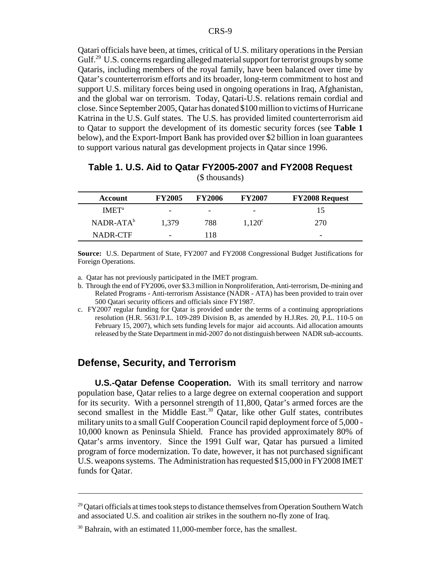Qatari officials have been, at times, critical of U.S. military operations in the Persian Gulf.<sup>29</sup> U.S. concerns regarding alleged material support for terrorist groups by some Qataris, including members of the royal family, have been balanced over time by Qatar's counterterrorism efforts and its broader, long-term commitment to host and support U.S. military forces being used in ongoing operations in Iraq, Afghanistan, and the global war on terrorism. Today, Qatari-U.S. relations remain cordial and close. Since September 2005, Qatar has donated \$100 million to victims of Hurricane Katrina in the U.S. Gulf states. The U.S. has provided limited counterterrorism aid to Qatar to support the development of its domestic security forces (see **Table 1** below), and the Export-Import Bank has provided over \$2 billion in loan guarantees to support various natural gas development projects in Qatar since 1996.

| Account           | <b>FY2005</b>            | <b>FY2006</b> | <b>FY2007</b>   | <b>FY2008 Request</b> |
|-------------------|--------------------------|---------------|-----------------|-----------------------|
| IMET <sup>a</sup> | -                        | -             | -               |                       |
| $NADR-ATAb$       | 1,379                    | 788           | $1,120^{\circ}$ | 270                   |
| NADR-CTF          | $\overline{\phantom{0}}$ | 118           |                 | -                     |

| Table 1. U.S. Aid to Qatar FY2005-2007 and FY2008 Request |  |
|-----------------------------------------------------------|--|
| (\$ thousands)                                            |  |

**Source:** U.S. Department of State, FY2007 and FY2008 Congressional Budget Justifications for Foreign Operations.

a. Qatar has not previously participated in the IMET program.

- b. Through the end of FY2006, over \$3.3 million in Nonproliferation, Anti-terrorism, De-mining and Related Programs - Anti-terrorism Assistance (NADR - ATA) has been provided to train over 500 Qatari security officers and officials since FY1987.
- c. FY2007 regular funding for Qatar is provided under the terms of a continuing appropriations resolution (H.R. 5631/P.L. 109-289 Division B, as amended by H.J.Res. 20, P.L. 110-5 on February 15, 2007), which sets funding levels for major aid accounts. Aid allocation amounts released by the State Department in mid-2007 do not distinguish between NADR sub-accounts.

#### **Defense, Security, and Terrorism**

**U.S.-Qatar Defense Cooperation.** With its small territory and narrow population base, Qatar relies to a large degree on external cooperation and support for its security. With a personnel strength of 11,800, Qatar's armed forces are the second smallest in the Middle East.<sup>30</sup> Oatar, like other Gulf states, contributes military units to a small Gulf Cooperation Council rapid deployment force of 5,000 - 10,000 known as Peninsula Shield. France has provided approximately 80% of Qatar's arms inventory. Since the 1991 Gulf war, Qatar has pursued a limited program of force modernization. To date, however, it has not purchased significant U.S. weapons systems. The Administration has requested \$15,000 in FY2008 IMET funds for Qatar.

 $29$  Qatari officials at times took steps to distance themselves from Operation Southern Watch and associated U.S. and coalition air strikes in the southern no-fly zone of Iraq.

 $30$  Bahrain, with an estimated 11,000-member force, has the smallest.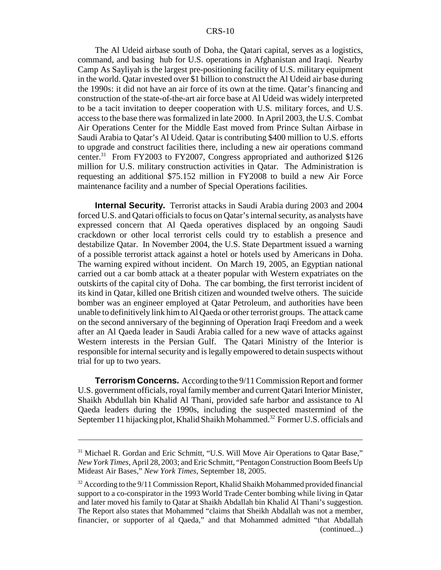The Al Udeid airbase south of Doha, the Qatari capital, serves as a logistics, command, and basing hub for U.S. operations in Afghanistan and Iraqi. Nearby Camp As Sayliyah is the largest pre-positioning facility of U.S. military equipment in the world. Qatar invested over \$1 billion to construct the Al Udeid air base during the 1990s: it did not have an air force of its own at the time. Qatar's financing and construction of the state-of-the-art air force base at Al Udeid was widely interpreted to be a tacit invitation to deeper cooperation with U.S. military forces, and U.S. access to the base there was formalized in late 2000. In April 2003, the U.S. Combat Air Operations Center for the Middle East moved from Prince Sultan Airbase in Saudi Arabia to Qatar's Al Udeid. Qatar is contributing \$400 million to U.S. efforts to upgrade and construct facilities there, including a new air operations command center.31 From FY2003 to FY2007, Congress appropriated and authorized \$126 million for U.S. military construction activities in Qatar. The Administration is requesting an additional \$75.152 million in FY2008 to build a new Air Force maintenance facility and a number of Special Operations facilities.

**Internal Security.** Terrorist attacks in Saudi Arabia during 2003 and 2004 forced U.S. and Qatari officials to focus on Qatar's internal security, as analysts have expressed concern that Al Qaeda operatives displaced by an ongoing Saudi crackdown or other local terrorist cells could try to establish a presence and destabilize Qatar. In November 2004, the U.S. State Department issued a warning of a possible terrorist attack against a hotel or hotels used by Americans in Doha. The warning expired without incident. On March 19, 2005, an Egyptian national carried out a car bomb attack at a theater popular with Western expatriates on the outskirts of the capital city of Doha. The car bombing, the first terrorist incident of its kind in Qatar, killed one British citizen and wounded twelve others. The suicide bomber was an engineer employed at Qatar Petroleum, and authorities have been unable to definitively link him to Al Qaeda or other terrorist groups. The attack came on the second anniversary of the beginning of Operation Iraqi Freedom and a week after an Al Qaeda leader in Saudi Arabia called for a new wave of attacks against Western interests in the Persian Gulf. The Qatari Ministry of the Interior is responsible for internal security and is legally empowered to detain suspects without trial for up to two years.

**Terrorism Concerns.** According to the 9/11 Commission Report and former U.S. government officials, royal family member and current Qatari Interior Minister, Shaikh Abdullah bin Khalid Al Thani, provided safe harbor and assistance to Al Qaeda leaders during the 1990s, including the suspected mastermind of the September 11 hijacking plot, Khalid Shaikh Mohammed.<sup>32</sup> Former U.S. officials and

<sup>&</sup>lt;sup>31</sup> Michael R. Gordan and Eric Schmitt, "U.S. Will Move Air Operations to Qatar Base," *New York Times*, April 28, 2003; and Eric Schmitt, "Pentagon Construction Boom Beefs Up Mideast Air Bases," *New York Times*, September 18, 2005.

 $32$  According to the 9/11 Commission Report, Khalid Shaikh Mohammed provided financial support to a co-conspirator in the 1993 World Trade Center bombing while living in Qatar and later moved his family to Qatar at Shaikh Abdallah bin Khalid Al Thani's suggestion. The Report also states that Mohammed "claims that Sheikh Abdallah was not a member, financier, or supporter of al Qaeda," and that Mohammed admitted "that Abdallah (continued...)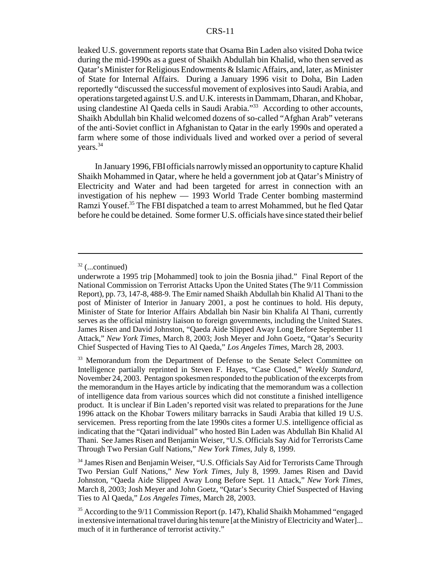leaked U.S. government reports state that Osama Bin Laden also visited Doha twice during the mid-1990s as a guest of Shaikh Abdullah bin Khalid, who then served as Qatar's Minister for Religious Endowments & Islamic Affairs, and, later, as Minister of State for Internal Affairs. During a January 1996 visit to Doha, Bin Laden reportedly "discussed the successful movement of explosives into Saudi Arabia, and operations targeted against U.S. and U.K. interests in Dammam, Dharan, and Khobar, using clandestine Al Qaeda cells in Saudi Arabia."<sup>33</sup> According to other accounts, Shaikh Abdullah bin Khalid welcomed dozens of so-called "Afghan Arab" veterans of the anti-Soviet conflict in Afghanistan to Qatar in the early 1990s and operated a farm where some of those individuals lived and worked over a period of several years.34

In January 1996, FBI officials narrowly missed an opportunity to capture Khalid Shaikh Mohammed in Qatar, where he held a government job at Qatar's Ministry of Electricity and Water and had been targeted for arrest in connection with an investigation of his nephew — 1993 World Trade Center bombing mastermind Ramzi Yousef.<sup>35</sup> The FBI dispatched a team to arrest Mohammed, but he fled Qatar before he could be detained. Some former U.S. officials have since stated their belief

 $32$  (...continued)

underwrote a 1995 trip [Mohammed] took to join the Bosnia jihad." Final Report of the National Commission on Terrorist Attacks Upon the United States (The 9/11 Commission Report), pp. 73, 147-8, 488-9. The Emir named Shaikh Abdullah bin Khalid Al Thani to the post of Minister of Interior in January 2001, a post he continues to hold. His deputy, Minister of State for Interior Affairs Abdallah bin Nasir bin Khalifa Al Thani, currently serves as the official ministry liaison to foreign governments, including the United States. James Risen and David Johnston, "Qaeda Aide Slipped Away Long Before September 11 Attack," *New York Times*, March 8, 2003; Josh Meyer and John Goetz, "Qatar's Security Chief Suspected of Having Ties to Al Qaeda," *Los Angeles Times*, March 28, 2003.

<sup>&</sup>lt;sup>33</sup> Memorandum from the Department of Defense to the Senate Select Committee on Intelligence partially reprinted in Steven F. Hayes, "Case Closed," *Weekly Standard*, November 24, 2003. Pentagon spokesmen responded to the publication of the excerpts from the memorandum in the Hayes article by indicating that the memorandum was a collection of intelligence data from various sources which did not constitute a finished intelligence product. It is unclear if Bin Laden's reported visit was related to preparations for the June 1996 attack on the Khobar Towers military barracks in Saudi Arabia that killed 19 U.S. servicemen. Press reporting from the late 1990s cites a former U.S. intelligence official as indicating that the "Qatari individual" who hosted Bin Laden was Abdullah Bin Khalid Al Thani. See James Risen and Benjamin Weiser, "U.S. Officials Say Aid for Terrorists Came Through Two Persian Gulf Nations," *New York Times*, July 8, 1999.

<sup>&</sup>lt;sup>34</sup> James Risen and Benjamin Weiser, "U.S. Officials Say Aid for Terrorists Came Through Two Persian Gulf Nations," *New York Times*, July 8, 1999. James Risen and David Johnston, "Qaeda Aide Slipped Away Long Before Sept. 11 Attack," *New York Times*, March 8, 2003; Josh Meyer and John Goetz, "Qatar's Security Chief Suspected of Having Ties to Al Qaeda," *Los Angeles Times*, March 28, 2003.

<sup>&</sup>lt;sup>35</sup> According to the 9/11 Commission Report (p. 147), Khalid Shaikh Mohammed "engaged in extensive international travel during his tenure [at the Ministry of Electricity and Water]... much of it in furtherance of terrorist activity."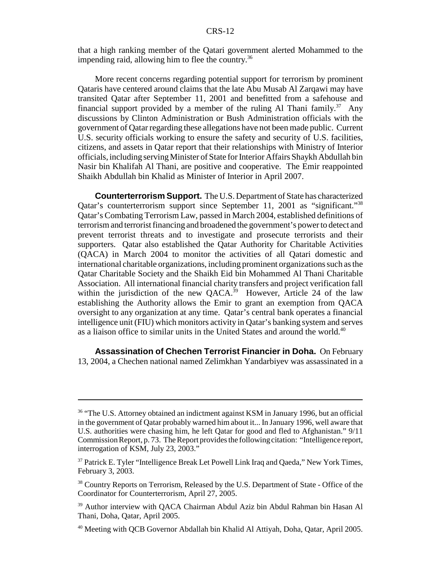that a high ranking member of the Qatari government alerted Mohammed to the impending raid, allowing him to flee the country.<sup>36</sup>

More recent concerns regarding potential support for terrorism by prominent Qataris have centered around claims that the late Abu Musab Al Zarqawi may have transited Qatar after September 11, 2001 and benefitted from a safehouse and financial support provided by a member of the ruling Al Thani family.<sup>37</sup> Any discussions by Clinton Administration or Bush Administration officials with the government of Qatar regarding these allegations have not been made public. Current U.S. security officials working to ensure the safety and security of U.S. facilities, citizens, and assets in Qatar report that their relationships with Ministry of Interior officials, including serving Minister of State for Interior Affairs Shaykh Abdullah bin Nasir bin Khalifah Al Thani, are positive and cooperative. The Emir reappointed Shaikh Abdullah bin Khalid as Minister of Interior in April 2007.

**Counterterrorism Support.** The U.S. Department of State has characterized Qatar's counterterrorism support since September 11, 2001 as "significant."<sup>38</sup> Qatar's Combating Terrorism Law, passed in March 2004, established definitions of terrorism and terrorist financing and broadened the government's power to detect and prevent terrorist threats and to investigate and prosecute terrorists and their supporters. Qatar also established the Qatar Authority for Charitable Activities (QACA) in March 2004 to monitor the activities of all Qatari domestic and international charitable organizations, including prominent organizations such as the Qatar Charitable Society and the Shaikh Eid bin Mohammed Al Thani Charitable Association. All international financial charity transfers and project verification fall within the jurisdiction of the new QACA.<sup>39</sup> However, Article 24 of the law establishing the Authority allows the Emir to grant an exemption from QACA oversight to any organization at any time. Qatar's central bank operates a financial intelligence unit (FIU) which monitors activity in Qatar's banking system and serves as a liaison office to similar units in the United States and around the world.<sup>40</sup>

**Assassination of Chechen Terrorist Financier in Doha.** On February 13, 2004, a Chechen national named Zelimkhan Yandarbiyev was assassinated in a

<sup>&</sup>lt;sup>36</sup> "The U.S. Attorney obtained an indictment against KSM in January 1996, but an official in the government of Qatar probably warned him about it... In January 1996, well aware that U.S. authorities were chasing him, he left Qatar for good and fled to Afghanistan." 9/11 Commission Report, p. 73. The Report provides the following citation: "Intelligence report, interrogation of KSM, July 23, 2003."

<sup>&</sup>lt;sup>37</sup> Patrick E. Tyler "Intelligence Break Let Powell Link Iraq and Qaeda," New York Times, February 3, 2003.

<sup>&</sup>lt;sup>38</sup> Country Reports on Terrorism, Released by the U.S. Department of State - Office of the Coordinator for Counterterrorism, April 27, 2005.

<sup>&</sup>lt;sup>39</sup> Author interview with QACA Chairman Abdul Aziz bin Abdul Rahman bin Hasan Al Thani, Doha, Qatar, April 2005.

<sup>40</sup> Meeting with QCB Governor Abdallah bin Khalid Al Attiyah, Doha, Qatar, April 2005.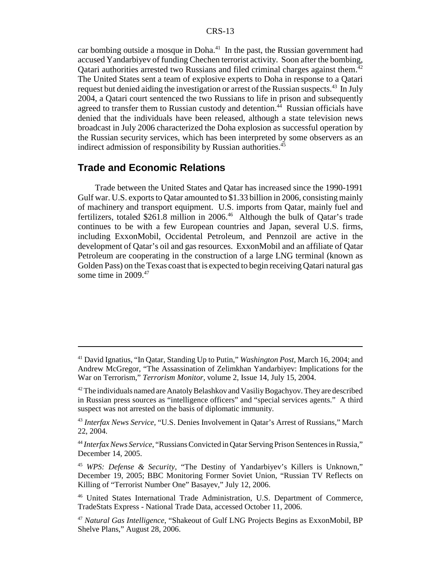car bombing outside a mosque in Doha.<sup>41</sup> In the past, the Russian government had accused Yandarbiyev of funding Chechen terrorist activity. Soon after the bombing, Qatari authorities arrested two Russians and filed criminal charges against them.<sup>42</sup> The United States sent a team of explosive experts to Doha in response to a Qatari request but denied aiding the investigation or arrest of the Russian suspects.<sup>43</sup> In July 2004, a Qatari court sentenced the two Russians to life in prison and subsequently agreed to transfer them to Russian custody and detention.<sup>44</sup> Russian officials have denied that the individuals have been released, although a state television news broadcast in July 2006 characterized the Doha explosion as successful operation by the Russian security services, which has been interpreted by some observers as an indirect admission of responsibility by Russian authorities. $45$ 

#### **Trade and Economic Relations**

Trade between the United States and Qatar has increased since the 1990-1991 Gulf war. U.S. exports to Qatar amounted to \$1.33 billion in 2006, consisting mainly of machinery and transport equipment. U.S. imports from Qatar, mainly fuel and fertilizers, totaled \$261.8 million in 2006.<sup>46</sup> Although the bulk of Qatar's trade continues to be with a few European countries and Japan, several U.S. firms, including ExxonMobil, Occidental Petroleum, and Pennzoil are active in the development of Qatar's oil and gas resources. ExxonMobil and an affiliate of Qatar Petroleum are cooperating in the construction of a large LNG terminal (known as Golden Pass) on the Texas coast that is expected to begin receiving Qatari natural gas some time in  $2009<sup>47</sup>$ 

<sup>41</sup> David Ignatius, "In Qatar, Standing Up to Putin," *Washington Post*, March 16, 2004; and Andrew McGregor, "The Assassination of Zelimkhan Yandarbiyev: Implications for the War on Terrorism," *Terrorism Monitor*, volume 2, Issue 14, July 15, 2004.

 $42$  The individuals named are Anatoly Belashkov and Vasiliy Bogachyov. They are described in Russian press sources as "intelligence officers" and "special services agents." A third suspect was not arrested on the basis of diplomatic immunity.

<sup>43</sup> *Interfax News Service*, "U.S. Denies Involvement in Qatar's Arrest of Russians," March 22, 2004.

<sup>44</sup> *Interfax News Service*, "Russians Convicted in Qatar Serving Prison Sentences in Russia," December 14, 2005.

<sup>45</sup> *WPS: Defense & Security,* "The Destiny of Yandarbiyev's Killers is Unknown," December 19, 2005; BBC Monitoring Former Soviet Union, "Russian TV Reflects on Killing of "Terrorist Number One" Basayev," July 12, 2006.

<sup>46</sup> United States International Trade Administration, U.S. Department of Commerce, TradeStats Express - National Trade Data, accessed October 11, 2006.

<sup>47</sup> *Natural Gas Intelligence*, "Shakeout of Gulf LNG Projects Begins as ExxonMobil, BP Shelve Plans," August 28, 2006.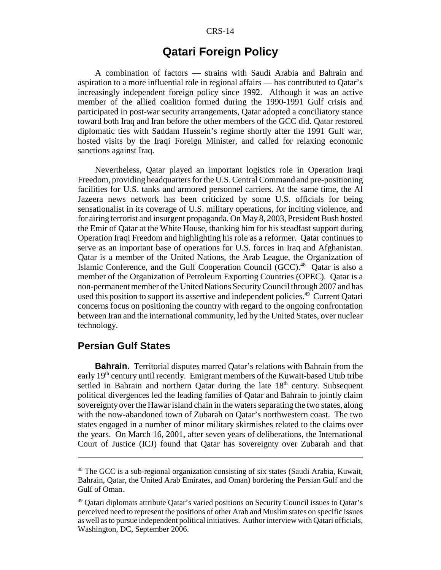## **Qatari Foreign Policy**

A combination of factors — strains with Saudi Arabia and Bahrain and aspiration to a more influential role in regional affairs — has contributed to Qatar's increasingly independent foreign policy since 1992. Although it was an active member of the allied coalition formed during the 1990-1991 Gulf crisis and participated in post-war security arrangements, Qatar adopted a conciliatory stance toward both Iraq and Iran before the other members of the GCC did. Qatar restored diplomatic ties with Saddam Hussein's regime shortly after the 1991 Gulf war, hosted visits by the Iraqi Foreign Minister, and called for relaxing economic sanctions against Iraq.

Nevertheless, Qatar played an important logistics role in Operation Iraqi Freedom, providing headquarters for the U.S. Central Command and pre-positioning facilities for U.S. tanks and armored personnel carriers. At the same time, the Al Jazeera news network has been criticized by some U.S. officials for being sensationalist in its coverage of U.S. military operations, for inciting violence, and for airing terrorist and insurgent propaganda. On May 8, 2003, President Bush hosted the Emir of Qatar at the White House, thanking him for his steadfast support during Operation Iraqi Freedom and highlighting his role as a reformer. Qatar continues to serve as an important base of operations for U.S. forces in Iraq and Afghanistan. Qatar is a member of the United Nations, the Arab League, the Organization of Islamic Conference, and the Gulf Cooperation Council (GCC).<sup>48</sup> Qatar is also a member of the Organization of Petroleum Exporting Countries (OPEC). Qatar is a non-permanent member of the United Nations Security Council through 2007 and has used this position to support its assertive and independent policies.<sup>49</sup> Current Qatari concerns focus on positioning the country with regard to the ongoing confrontation between Iran and the international community, led by the United States, over nuclear technology.

#### **Persian Gulf States**

**Bahrain.** Territorial disputes marred Qatar's relations with Bahrain from the early 19<sup>th</sup> century until recently. Emigrant members of the Kuwait-based Utub tribe settled in Bahrain and northern Qatar during the late  $18<sup>th</sup>$  century. Subsequent political divergences led the leading families of Qatar and Bahrain to jointly claim sovereignty over the Hawar island chain in the waters separating the two states, along with the now-abandoned town of Zubarah on Qatar's northwestern coast. The two states engaged in a number of minor military skirmishes related to the claims over the years. On March 16, 2001, after seven years of deliberations, the International Court of Justice (ICJ) found that Qatar has sovereignty over Zubarah and that

<sup>48</sup> The GCC is a sub-regional organization consisting of six states (Saudi Arabia, Kuwait, Bahrain, Qatar, the United Arab Emirates, and Oman) bordering the Persian Gulf and the Gulf of Oman.

<sup>49</sup> Qatari diplomats attribute Qatar's varied positions on Security Council issues to Qatar's perceived need to represent the positions of other Arab and Muslim states on specific issues as well as to pursue independent political initiatives. Author interview with Qatari officials, Washington, DC, September 2006.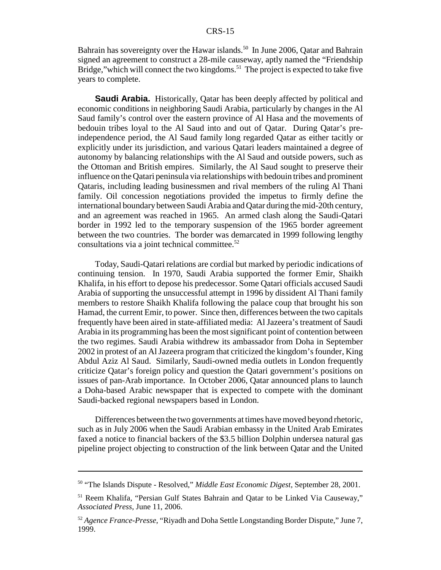Bahrain has sovereignty over the Hawar islands.<sup>50</sup> In June 2006, Qatar and Bahrain signed an agreement to construct a 28-mile causeway, aptly named the "Friendship Bridge," which will connect the two kingdoms.<sup>51</sup> The project is expected to take five years to complete.

**Saudi Arabia.** Historically, Qatar has been deeply affected by political and economic conditions in neighboring Saudi Arabia, particularly by changes in the Al Saud family's control over the eastern province of Al Hasa and the movements of bedouin tribes loyal to the Al Saud into and out of Qatar. During Qatar's preindependence period, the Al Saud family long regarded Qatar as either tacitly or explicitly under its jurisdiction, and various Qatari leaders maintained a degree of autonomy by balancing relationships with the Al Saud and outside powers, such as the Ottoman and British empires. Similarly, the Al Saud sought to preserve their influence on the Qatari peninsula via relationships with bedouin tribes and prominent Qataris, including leading businessmen and rival members of the ruling Al Thani family. Oil concession negotiations provided the impetus to firmly define the international boundary between Saudi Arabia and Qatar during the mid-20th century, and an agreement was reached in 1965. An armed clash along the Saudi-Qatari border in 1992 led to the temporary suspension of the 1965 border agreement between the two countries. The border was demarcated in 1999 following lengthy consultations via a joint technical committee. $52$ 

Today, Saudi-Qatari relations are cordial but marked by periodic indications of continuing tension. In 1970, Saudi Arabia supported the former Emir, Shaikh Khalifa, in his effort to depose his predecessor. Some Qatari officials accused Saudi Arabia of supporting the unsuccessful attempt in 1996 by dissident Al Thani family members to restore Shaikh Khalifa following the palace coup that brought his son Hamad, the current Emir, to power. Since then, differences between the two capitals frequently have been aired in state-affiliated media: Al Jazeera's treatment of Saudi Arabia in its programming has been the most significant point of contention between the two regimes. Saudi Arabia withdrew its ambassador from Doha in September 2002 in protest of an Al Jazeera program that criticized the kingdom's founder, King Abdul Aziz Al Saud. Similarly, Saudi-owned media outlets in London frequently criticize Qatar's foreign policy and question the Qatari government's positions on issues of pan-Arab importance. In October 2006, Qatar announced plans to launch a Doha-based Arabic newspaper that is expected to compete with the dominant Saudi-backed regional newspapers based in London.

Differences between the two governments at times have moved beyond rhetoric, such as in July 2006 when the Saudi Arabian embassy in the United Arab Emirates faxed a notice to financial backers of the \$3.5 billion Dolphin undersea natural gas pipeline project objecting to construction of the link between Qatar and the United

<sup>50 &</sup>quot;The Islands Dispute - Resolved," *Middle East Economic Digest*, September 28, 2001.

<sup>51</sup> Reem Khalifa, "Persian Gulf States Bahrain and Qatar to be Linked Via Causeway," *Associated Press*, June 11, 2006.

<sup>52</sup> *Agence France-Presse*, "Riyadh and Doha Settle Longstanding Border Dispute," June 7, 1999.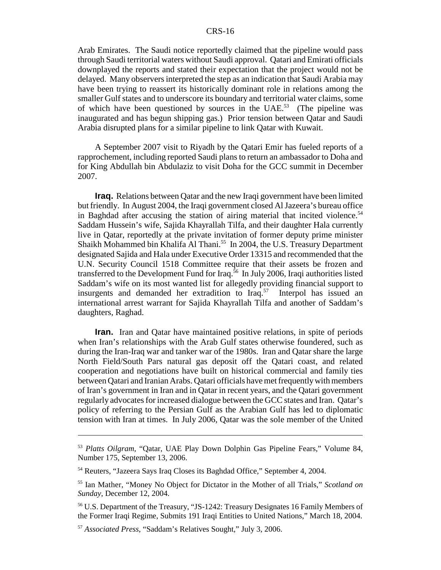Arab Emirates. The Saudi notice reportedly claimed that the pipeline would pass through Saudi territorial waters without Saudi approval. Qatari and Emirati officials downplayed the reports and stated their expectation that the project would not be delayed. Many observers interpreted the step as an indication that Saudi Arabia may have been trying to reassert its historically dominant role in relations among the smaller Gulf states and to underscore its boundary and territorial water claims, some of which have been questioned by sources in the UAE.<sup>53</sup> (The pipeline was inaugurated and has begun shipping gas.) Prior tension between Qatar and Saudi Arabia disrupted plans for a similar pipeline to link Qatar with Kuwait.

A September 2007 visit to Riyadh by the Qatari Emir has fueled reports of a rapprochement, including reported Saudi plans to return an ambassador to Doha and for King Abdullah bin Abdulaziz to visit Doha for the GCC summit in December 2007.

**Iraq.** Relations between Qatar and the new Iraqi government have been limited but friendly. In August 2004, the Iraqi government closed Al Jazeera's bureau office in Baghdad after accusing the station of airing material that incited violence.<sup>54</sup> Saddam Hussein's wife, Sajida Khayrallah Tilfa, and their daughter Hala currently live in Qatar, reportedly at the private invitation of former deputy prime minister Shaikh Mohammed bin Khalifa Al Thani.<sup>55</sup> In 2004, the U.S. Treasury Department designated Sajida and Hala under Executive Order 13315 and recommended that the U.N. Security Council 1518 Committee require that their assets be frozen and transferred to the Development Fund for Iraq.<sup>56</sup> In July 2006, Iraqi authorities listed Saddam's wife on its most wanted list for allegedly providing financial support to insurgents and demanded her extradition to Iraq.<sup>57</sup> Interpol has issued an international arrest warrant for Sajida Khayrallah Tilfa and another of Saddam's daughters, Raghad.

**Iran.** Iran and Qatar have maintained positive relations, in spite of periods when Iran's relationships with the Arab Gulf states otherwise foundered, such as during the Iran-Iraq war and tanker war of the 1980s. Iran and Qatar share the large North Field/South Pars natural gas deposit off the Qatari coast, and related cooperation and negotiations have built on historical commercial and family ties between Qatari and Iranian Arabs. Qatari officials have met frequently with members of Iran's government in Iran and in Qatar in recent years, and the Qatari government regularly advocates for increased dialogue between the GCC states and Iran. Qatar's policy of referring to the Persian Gulf as the Arabian Gulf has led to diplomatic tension with Iran at times. In July 2006, Qatar was the sole member of the United

<sup>53</sup> *Platts Oilgram*, "Qatar, UAE Play Down Dolphin Gas Pipeline Fears," Volume 84, Number 175, September 13, 2006.

<sup>54</sup> Reuters, "Jazeera Says Iraq Closes its Baghdad Office," September 4, 2004.

<sup>55</sup> Ian Mather, "Money No Object for Dictator in the Mother of all Trials," *Scotland on Sunday*, December 12, 2004.

<sup>56</sup> U.S. Department of the Treasury, "JS-1242: Treasury Designates 16 Family Members of the Former Iraqi Regime, Submits 191 Iraqi Entities to United Nations," March 18, 2004.

<sup>57</sup> *Associated Press*, "Saddam's Relatives Sought," July 3, 2006.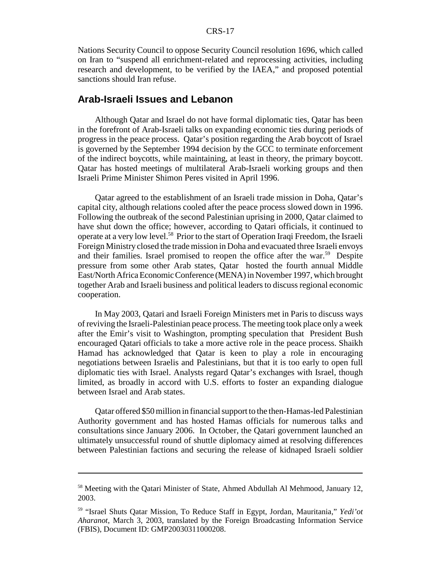Nations Security Council to oppose Security Council resolution 1696, which called on Iran to "suspend all enrichment-related and reprocessing activities, including research and development, to be verified by the IAEA," and proposed potential sanctions should Iran refuse.

#### **Arab-Israeli Issues and Lebanon**

Although Qatar and Israel do not have formal diplomatic ties, Qatar has been in the forefront of Arab-Israeli talks on expanding economic ties during periods of progress in the peace process. Qatar's position regarding the Arab boycott of Israel is governed by the September 1994 decision by the GCC to terminate enforcement of the indirect boycotts, while maintaining, at least in theory, the primary boycott. Qatar has hosted meetings of multilateral Arab-Israeli working groups and then Israeli Prime Minister Shimon Peres visited in April 1996.

Qatar agreed to the establishment of an Israeli trade mission in Doha, Qatar's capital city, although relations cooled after the peace process slowed down in 1996. Following the outbreak of the second Palestinian uprising in 2000, Qatar claimed to have shut down the office; however, according to Qatari officials, it continued to operate at a very low level.58 Prior to the start of Operation Iraqi Freedom, the Israeli Foreign Ministry closed the trade mission in Doha and evacuated three Israeli envoys and their families. Israel promised to reopen the office after the war.<sup>59</sup> Despite pressure from some other Arab states, Qatar hosted the fourth annual Middle East/North Africa Economic Conference (MENA) in November 1997, which brought together Arab and Israeli business and political leaders to discuss regional economic cooperation.

In May 2003, Qatari and Israeli Foreign Ministers met in Paris to discuss ways of reviving the Israeli-Palestinian peace process. The meeting took place only a week after the Emir's visit to Washington, prompting speculation that President Bush encouraged Qatari officials to take a more active role in the peace process. Shaikh Hamad has acknowledged that Qatar is keen to play a role in encouraging negotiations between Israelis and Palestinians, but that it is too early to open full diplomatic ties with Israel. Analysts regard Qatar's exchanges with Israel, though limited, as broadly in accord with U.S. efforts to foster an expanding dialogue between Israel and Arab states.

Qatar offered \$50 million in financial support to the then-Hamas-led Palestinian Authority government and has hosted Hamas officials for numerous talks and consultations since January 2006. In October, the Qatari government launched an ultimately unsuccessful round of shuttle diplomacy aimed at resolving differences between Palestinian factions and securing the release of kidnaped Israeli soldier

<sup>&</sup>lt;sup>58</sup> Meeting with the Qatari Minister of State, Ahmed Abdullah Al Mehmood, January 12, 2003.

<sup>59 &</sup>quot;Israel Shuts Qatar Mission, To Reduce Staff in Egypt, Jordan, Mauritania," *Yedi'ot Aharanot*, March 3, 2003, translated by the Foreign Broadcasting Information Service (FBIS), Document ID: GMP20030311000208.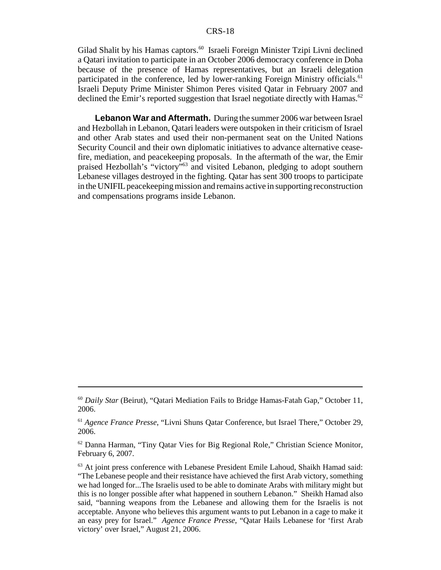Gilad Shalit by his Hamas captors.<sup>60</sup> Israeli Foreign Minister Tzipi Livni declined a Qatari invitation to participate in an October 2006 democracy conference in Doha because of the presence of Hamas representatives, but an Israeli delegation participated in the conference, led by lower-ranking Foreign Ministry officials.<sup>61</sup> Israeli Deputy Prime Minister Shimon Peres visited Qatar in February 2007 and declined the Emir's reported suggestion that Israel negotiate directly with Hamas.<sup>62</sup>

**Lebanon War and Aftermath.** During the summer 2006 war between Israel and Hezbollah in Lebanon, Qatari leaders were outspoken in their criticism of Israel and other Arab states and used their non-permanent seat on the United Nations Security Council and their own diplomatic initiatives to advance alternative ceasefire, mediation, and peacekeeping proposals. In the aftermath of the war, the Emir praised Hezbollah's "victory"63 and visited Lebanon, pledging to adopt southern Lebanese villages destroyed in the fighting. Qatar has sent 300 troops to participate in the UNIFIL peacekeeping mission and remains active in supporting reconstruction and compensations programs inside Lebanon.

<sup>60</sup> *Daily Star* (Beirut), "Qatari Mediation Fails to Bridge Hamas-Fatah Gap," October 11, 2006.

<sup>61</sup> *Agence France Presse*, "Livni Shuns Qatar Conference, but Israel There," October 29, 2006.

<sup>62</sup> Danna Harman, "Tiny Qatar Vies for Big Regional Role," Christian Science Monitor, February 6, 2007.

 $63$  At joint press conference with Lebanese President Emile Lahoud, Shaikh Hamad said: "The Lebanese people and their resistance have achieved the first Arab victory, something we had longed for...The Israelis used to be able to dominate Arabs with military might but this is no longer possible after what happened in southern Lebanon." Sheikh Hamad also said, "banning weapons from the Lebanese and allowing them for the Israelis is not acceptable. Anyone who believes this argument wants to put Lebanon in a cage to make it an easy prey for Israel." *Agence France Presse*, "Qatar Hails Lebanese for 'first Arab victory' over Israel," August 21, 2006.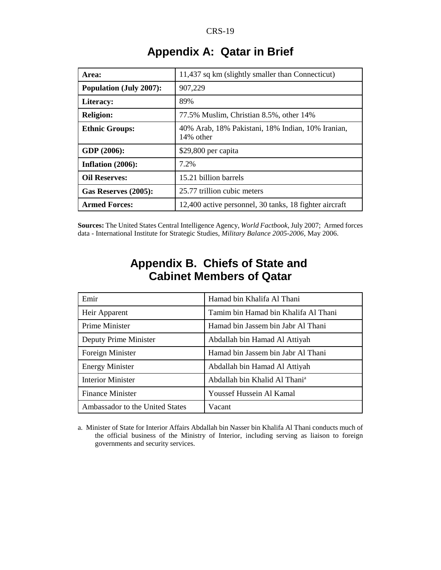| Area:                          | 11,437 sq km (slightly smaller than Connecticut)               |
|--------------------------------|----------------------------------------------------------------|
| <b>Population (July 2007):</b> | 907,229                                                        |
| Literacy:                      | 89%                                                            |
| <b>Religion:</b>               | 77.5% Muslim, Christian 8.5%, other 14%                        |
| <b>Ethnic Groups:</b>          | 40% Arab, 18% Pakistani, 18% Indian, 10% Iranian,<br>14% other |
| GDP (2006):                    | \$29,800 per capita                                            |
| Inflation $(2006)$ :           | 7.2%                                                           |
| <b>Oil Reserves:</b>           | 15.21 billion barrels                                          |
| Gas Reserves (2005):           | 25.77 trillion cubic meters                                    |
| <b>Armed Forces:</b>           | 12,400 active personnel, 30 tanks, 18 fighter aircraft         |

# **Appendix A: Qatar in Brief**

**Sources:** The United States Central Intelligence Agency, *World Factbook*, July 2007; Armed forces data - International Institute for Strategic Studies, *Military Balance 2005-2006*, May 2006.

| Emir                            | Hamad bin Khalifa Al Thani                |
|---------------------------------|-------------------------------------------|
| Heir Apparent                   | Tamim bin Hamad bin Khalifa Al Thani      |
| Prime Minister                  | Hamad bin Jassem bin Jabr Al Thani        |
| Deputy Prime Minister           | Abdallah bin Hamad Al Attiyah             |
| Foreign Minister                | Hamad bin Jassem bin Jabr Al Thani        |
| <b>Energy Minister</b>          | Abdallah bin Hamad Al Attiyah             |
| <b>Interior Minister</b>        | Abdallah bin Khalid Al Thani <sup>a</sup> |
| <b>Finance Minister</b>         | Youssef Hussein Al Kamal                  |
| Ambassador to the United States | Vacant                                    |

# **Appendix B. Chiefs of State and Cabinet Members of Qatar**

a. Minister of State for Interior Affairs Abdallah bin Nasser bin Khalifa Al Thani conducts much of the official business of the Ministry of Interior, including serving as liaison to foreign governments and security services.